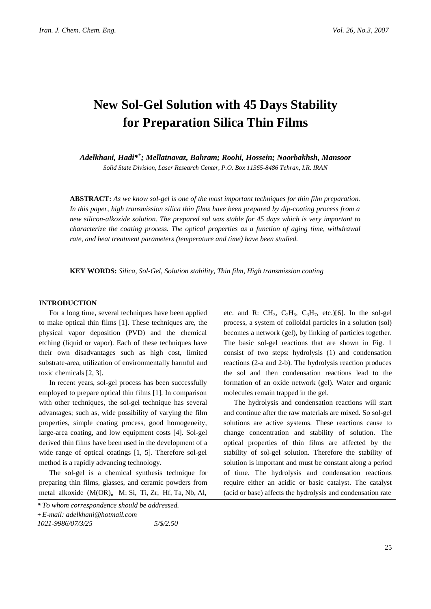# **New Sol-Gel Solution with 45 Days Stability for Preparation Silica Thin Films**

*Adelkhani, Hadi\*<sup>+</sup> ; Mellatnavaz, Bahram; Roohi, Hossein; Noorbakhsh, Mansoor*

*Solid State Division, Laser Research Center, P.O. Box 11365-8486 Tehran, I.R. IRAN*

**ABSTRACT:** *As we know sol-gel is one of the most important techniques for thin film preparation. In this paper, high transmission silica thin films have been prepared by dip-coating process from a new silicon-alkoxide solution. The prepared sol was stable for 45 days which is very important to characterize the coating process. The optical properties as a function of aging time, withdrawal rate, and heat treatment parameters (temperature and time) have been studied.* 

**KEY WORDS:** *Silica, Sol-Gel, Solution stability, Thin film, High transmission coating* 

# **INTRODUCTION**

For a long time, several techniques have been applied to make optical thin films [1]. These techniques are, the physical vapor deposition (PVD) and the chemical etching (liquid or vapor). Each of these techniques have their own disadvantages such as high cost, limited substrate-area, utilization of environmentally harmful and toxic chemicals [2, 3].

In recent years, sol-gel process has been successfully employed to prepare optical thin films [1]. In comparison with other techniques, the sol-gel technique has several advantages; such as, wide possibility of varying the film properties, simple coating process, good homogeneity, large-area coating, and low equipment costs [4]. Sol-gel derived thin films have been used in the development of a wide range of optical coatings [1, 5]. Therefore sol-gel method is a rapidly advancing technology.

The sol-gel is a chemical synthesis technique for preparing thin films, glasses, and ceramic powders from metal alkoxide  $(M(OR)_n$  M: Si, Ti, Zr, Hf, Ta, Nb, Al,

etc. and R: CH<sub>3</sub>, C<sub>2</sub>H<sub>5</sub>, C<sub>3</sub>H<sub>7</sub>, etc.)[6]. In the sol-gel process, a system of colloidal particles in a solution (sol) becomes a network (gel), by linking of particles together. The basic sol-gel reactions that are shown in Fig. 1 consist of two steps: hydrolysis (1) and condensation reactions (2-a and 2-b). The hydrolysis reaction produces the sol and then condensation reactions lead to the formation of an oxide network (gel). Water and organic molecules remain trapped in the gel.

The hydrolysis and condensation reactions will start and continue after the raw materials are mixed. So sol-gel solutions are active systems. These reactions cause to change concentration and stability of solution. The optical properties of thin films are affected by the stability of sol-gel solution. Therefore the stability of solution is important and must be constant along a period of time. The hydrolysis and condensation reactions require either an acidic or basic catalyst. The catalyst (acid or base) affects the hydrolysis and condensation rate

*<sup>\*</sup> To whom correspondence should be addressed.* 

**<sup>+</sup>** *E-mail: adelkhani@hotmail.com* 

*<sup>1021-9986/07/3/25 5/\$/2.50</sup>*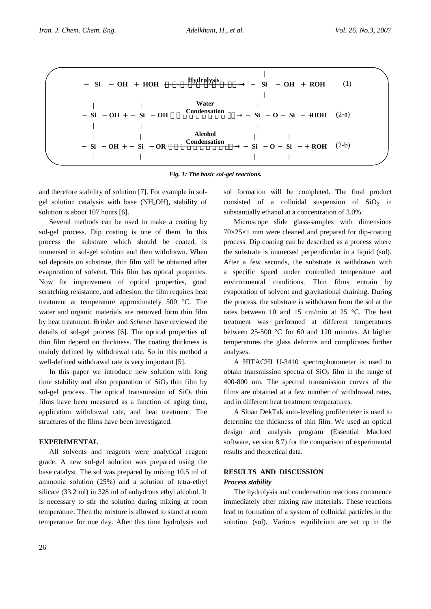

*Fig. 1: The basic sol-gel reactions.*

and therefore stability of solution [7]. For example in solgel solution catalysis with base (NH4OH), stability of solution is about 107 hours [6].

Several methods can be used to make a coating by sol-gel process. Dip coating is one of them. In this process the substrate which should be coated, is immersed in sol-gel solution and then withdrawn. When sol deposits on substrate, thin film will be obtained after evaporation of solvent. This film has optical properties. Now for improvement of optical properties, good scratching resistance, and adhesion, the film requires heat treatment at temperature approximately 500 °C. The water and organic materials are removed form thin film by heat treatment*. Brinker* and *Scherer* have reviewed the details of sol-gel process [6]. The optical properties of thin film depend on thickness. The coating thickness is mainly defined by withdrawal rate. So in this method a well-defined withdrawal rate is very important [5].

In this paper we introduce new solution with long time stability and also preparation of  $SiO<sub>2</sub>$  thin film by sol-gel process. The optical transmission of  $SiO<sub>2</sub>$  thin films have been measured as a function of aging time, application withdrawal rate, and heat treatment. The structures of the films have been investigated.

# **EXPERIMENTAL**

All solvents and reagents were analytical reagent grade. A new sol-gel solution was prepared using the base catalyst. The sol was prepared by mixing 10.5 ml of ammonia solution (25%) and a solution of tetra-ethyl silicate (33.2 ml) in 328 ml of anhydrous ethyl alcohol. It is necessary to stir the solution during mixing at room temperature. Then the mixture is allowed to stand at room temperature for one day. After this time hydrolysis and sol formation will be completed. The final product consisted of a colloidal suspension of  $SiO<sub>2</sub>$  in substantially ethanol at a concentration of 3.0%.

Microscope slide glass-samples with dimensions 70×25×1 mm were cleaned and prepared for dip-coating process. Dip coating can be described as a process where the substrate is immersed perpendicular in a liquid (sol). After a few seconds, the substrate is withdrawn with a specific speed under controlled temperature and environmental conditions. Thin films entrain by evaporation of solvent and gravitational draining. During the process, the substrate is withdrawn from the sol at the rates between 10 and 15 cm/min at 25 °C. The heat treatment was performed at different temperatures between 25-500 °C for 60 and 120 minutes. At higher temperatures the glass deforms and complicates further analyses.

A HITACHI U-3410 spectrophotometer is used to obtain transmission spectra of  $SiO<sub>2</sub>$  film in the range of 400-800 nm. The spectral transmission curves of the films are obtained at a few number of withdrawal rates, and in different heat treatment temperatures.

A Sloan DekTak auto-leveling profilemeter is used to determine the thickness of thin film. We used an optical design and analysis program (Essential Macloed software, version 8.7) for the comparison of experimental results and theoretical data.

# **RESULTS AND DISCUSSION**

# *Process stability*

The hydrolysis and condensation reactions commence immediately after mixing raw materials. These reactions lead to formation of a system of colloidal particles in the solution (sol). Various equilibrium are set up in the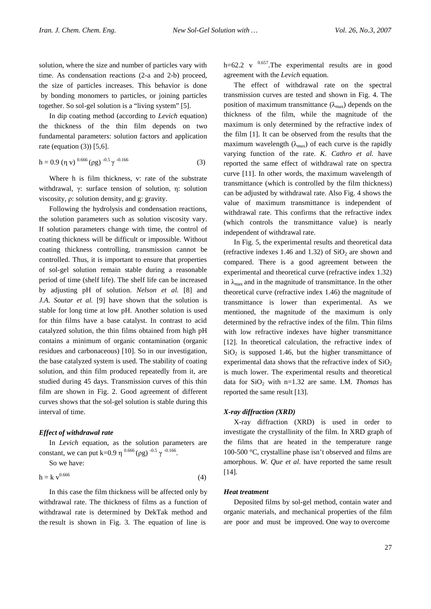solution, where the size and number of particles vary with time. As condensation reactions (2-a and 2-b) proceed, the size of particles increases. This behavior is done by bonding monomers to particles, or joining particles together. So sol-gel solution is a "living system" [5].

In dip coating method (according to *Levich* equation) the thickness of the thin film depends on two fundamental parameters: solution factors and application rate (equation (3)) [5,6].

$$
h = 0.9 \, (\eta \, v)^{-0.666} (\rho g)^{-0.5} \gamma^{-0.166} \tag{3}
$$

Where h is film thickness, v: rate of the substrate withdrawal, γ: surface tension of solution, η: solution viscosity, ρ: solution density, and g: gravity.

Following the hydrolysis and condensation reactions, the solution parameters such as solution viscosity vary. If solution parameters change with time, the control of coating thickness will be difficult or impossible. Without coating thickness controlling, transmission cannot be controlled. Thus, it is important to ensure that properties of sol-gel solution remain stable during a reasonable period of time (shelf life). The shelf life can be increased by adjusting pH of solution. *Nelson et al.* [8] and *J.A. Soutar et al.* [9] have shown that the solution is stable for long time at low pH. Another solution is used for thin films have a base catalyst. In contrast to acid catalyzed solution, the thin films obtained from high pH contains a minimum of organic contamination (organic residues and carbonaceous) [10]. So in our investigation, the base catalyzed system is used. The stability of coating solution, and thin film produced repeatedly from it, are studied during 45 days. Transmission curves of this thin film are shown in Fig. 2. Good agreement of different curves shows that the sol-gel solution is stable during this interval of time.

#### *Effect of withdrawal rate*

In *Levich* equation, as the solution parameters are constant, we can put k=0.9 η  $^{0.666}$  (pg)  $^{-0.5}$   $\gamma$   $^{-0.166}$ .

So we have:

$$
h = k v^{0.666}
$$
 (4)

In this case the film thickness will be affected only by withdrawal rate. The thickness of films as a function of withdrawal rate is determined by DekTak method and the result is shown in Fig. 3. The equation of line is

h=62.2 v  $^{0.657}$ . The experimental results are in good agreement with the *Levich* equation.

The effect of withdrawal rate on the spectral transmission curves are tested and shown in Fig. 4. The position of maximum transmittance  $(\lambda_{\text{max}})$  depends on the thickness of the film, while the magnitude of the maximum is only determined by the refractive index of the film [1]. It can be observed from the results that the maximum wavelength  $(\lambda_{\text{max}})$  of each curve is the rapidly varying function of the rate. *K. Cathro et al.* have reported the same effect of withdrawal rate on spectra curve [11]. In other words, the maximum wavelength of transmittance (which is controlled by the film thickness) can be adjusted by withdrawal rate. Also Fig. 4 shows the value of maximum transmittance is independent of withdrawal rate. This confirms that the refractive index (which controls the transmittance value) is nearly independent of withdrawal rate.

In Fig. 5, the experimental results and theoretical data (refractive indexes 1.46 and 1.32) of  $SiO<sub>2</sub>$  are shown and compared. There is a good agreement between the experimental and theoretical curve (refractive index 1.32) in  $\lambda_{\text{max}}$  and in the magnitude of transmittance. In the other theoretical curve (refractive index 1.46) the magnitude of transmittance is lower than experimental. As we mentioned, the magnitude of the maximum is only determined by the refractive index of the film. Thin films with low refractive indexes have higher transmittance [12]. In theoretical calculation, the refractive index of  $SiO<sub>2</sub>$  is supposed 1.46, but the higher transmittance of experimental data shows that the refractive index of  $SiO<sub>2</sub>$ is much lower. The experimental results and theoretical data for  $SiO<sub>2</sub>$  with n=1.32 are same. I.M. *Thomas* has reported the same result [13].

#### *X-ray diffraction (XRD)*

X-ray diffraction (XRD) is used in order to investigate the crystallinity of the film. In XRD graph of the films that are heated in the temperature range 100-500 °C, crystalline phase isn't observed and films are amorphous. *W. Que et al.* have reported the same result [14].

# *Heat treatment*

Deposited films by sol-gel method, contain water and organic materials, and mechanical properties of the film are poor and must be improved. One way to overcome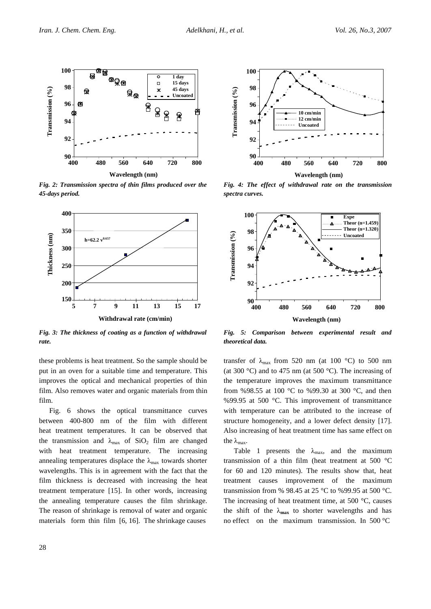

*Fig. 2: Transmission spectra of thin films produced over the 45-days period.*



*Fig. 3: The thickness of coating as a function of withdrawal rate.*

these problems is heat treatment. So the sample should be put in an oven for a suitable time and temperature. This improves the optical and mechanical properties of thin film. Also removes water and organic materials from thin film.

Fig. 6 shows the optical transmittance curves between 400-800 nm of the film with different heat treatment temperatures. It can be observed that the transmission and  $\lambda_{\text{max}}$  of SiO<sub>2</sub> film are changed with heat treatment temperature. The increasing annealing temperatures displace the  $\lambda_{\text{max}}$  towards shorter wavelengths. This is in agreement with the fact that the film thickness is decreased with increasing the heat treatment temperature [15]. In other words, increasing the annealing temperature causes the film shrinkage. The reason of shrinkage is removal of water and organic materials form thin film [6, 16]. The shrinkage causes



*Fig. 4: The effect of withdrawal rate on the transmission spectra curves.*



*Fig. 5: Comparison between experimental result and theoretical data.*

transfer of  $\lambda_{\text{max}}$  from 520 nm (at 100 °C) to 500 nm (at 300 °C) and to 475 nm (at 500 °C). The increasing of the temperature improves the maximum transmittance from %98.55 at 100 °C to %99.30 at 300 °C, and then %99.95 at 500 °C. This improvement of transmittance with temperature can be attributed to the increase of structure homogeneity, and a lower defect density [17]. Also increasing of heat treatment time has same effect on the  $\lambda_{\text{max}}$ .

Table 1 presents the  $\lambda_{\text{max}}$ , and the maximum transmission of a thin film (heat treatment at 500 °C for 60 and 120 minutes). The results show that, heat treatment causes improvement of the maximum transmission from % 98.45 at 25 °C to %99.95 at 500 °C. The increasing of heat treatment time, at 500 °C, causes the shift of the  $\lambda_{\text{max}}$  to shorter wavelengths and has no effect on the maximum transmission. In 500 °C